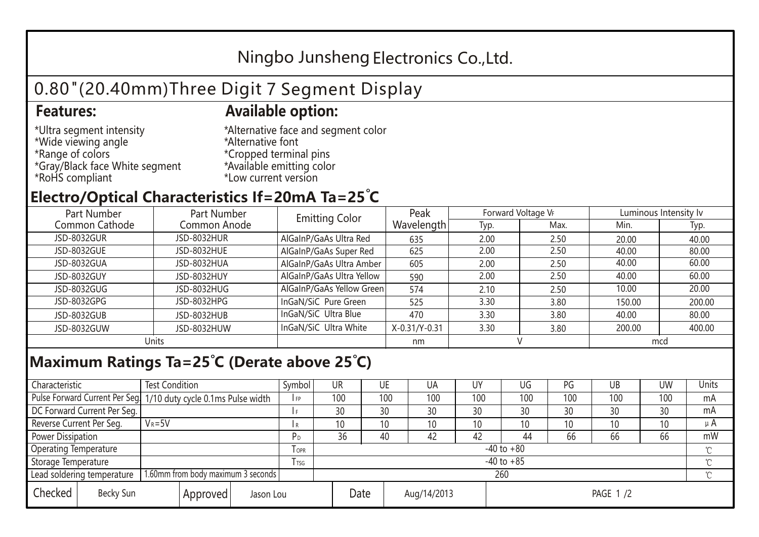## Ningbo Junsheng Electronics Co.,Ltd.

# 0.80"(20.40mm)Three Digit 7 Segment Display

#### **Features: Available option:**

- \*Ultra segment intensity \*Wide viewing angle \*Range of colors \*Gray/Black face White segment \*RoHS compliant
- \*Alternative face and segment color \*Alternative font \*Cropped terminal pins \*Available emitting color \*Low current version

#### **Electro/Optical Characteristics If=20mA Ta=25 C**

| Part Number    | Part Number  | <b>Emitting Color</b>     | Peak          | Forward Voltage VF |      | Luminous Intensity lv |        |  |
|----------------|--------------|---------------------------|---------------|--------------------|------|-----------------------|--------|--|
| Common Cathode | Common Anode |                           | Wavelength    | Typ.               | Max. | Min.                  | Typ.   |  |
| JSD-8032GUR    | JSD-8032HUR  | AlGaInP/GaAs Ultra Red    | 635           | 2.00               | 2.50 | 20.00                 | 40.00  |  |
| JSD-8032GUE    | JSD-8032HUE  | AlGaInP/GaAs Super Red    | 625           | 2.00               | 2.50 | 40.00                 | 80.00  |  |
| JSD-8032GUA    | JSD-8032HUA  | AlGaInP/GaAs Ultra Amber  | 605           | 2.00               | 2.50 | 40.00                 | 60.00  |  |
| JSD-8032GUY    | JSD-8032HUY  | AlGaInP/GaAs Ultra Yellow | 590           | 2.00               | 2.50 | 40.00                 | 60.00  |  |
| JSD-8032GUG    | JSD-8032HUG  | AlGaInP/GaAs Yellow Green | 574           | 2.10               | 2.50 | 10.00                 | 20.00  |  |
| JSD-8032GPG    | JSD-8032HPG  | InGaN/SiC Pure Green      | 525           | 3.30               | 3.80 | 150.00                | 200.00 |  |
| JSD-8032GUB    | JSD-8032HUB  | InGaN/SiC Ultra Blue      | 470           | 3.30               | 3.80 | 40.00                 | 80.00  |  |
| JSD-8032GUW    | JSD-8032HUW  | InGaN/SiC Ultra White     | X-0.31/Y-0.31 | 3.30               | 3.80 | 200.00                | 400.00 |  |
| Units          |              |                           | nm            |                    |      | mcd                   |        |  |

### **Maximum Ratings Ta=25°C (Derate above 25°C)**

| Characteristic                                |            | <b>Test Condition</b><br>Symbol                                 |                     |                | UR              |    | UE       | UA  | UY  | UG  | PG  | UB     | <b>UW</b> | Units |
|-----------------------------------------------|------------|-----------------------------------------------------------------|---------------------|----------------|-----------------|----|----------|-----|-----|-----|-----|--------|-----------|-------|
|                                               |            | Pulse Forward Current Per Seg 1/10 duty cycle 0.1ms Pulse width |                     |                | 100             |    | 100      | 100 | 100 | 100 | 100 | 100    | 100       | mA    |
| DC Forward Current Per Seg.                   |            |                                                                 |                     |                | 30              | 30 |          | 30  | 30  | 30  | 30  | 30     | 30        | mA    |
| Reverse Current Per Seg.                      | $V_R = 5V$ |                                                                 |                     | I R            | 10 <sup>1</sup> |    | 10       | 10  | 10  | 10  | 10  | 10     | 10        | μA    |
| <b>Power Dissipation</b>                      |            |                                                                 |                     |                | 36              | 40 |          | 42  | 42  | 44  | 66  | 66     | 66        | mW    |
| <b>Operating Temperature</b>                  |            |                                                                 | $I$ OPR             | $-40$ to $+80$ |                 |    |          |     |     |     |     |        |           |       |
| Storage Temperature                           |            | I TSG                                                           | $-40$ to $+85$      |                |                 |    |          |     |     |     |     | $\sim$ |           |       |
| Lead soldering temperature                    |            | 1.60mm from body maximum 3 seconds                              |                     |                | 260             |    |          |     |     |     |     |        |           |       |
| Checked<br>Becky Sun<br>Approved<br>Jason Lou |            |                                                                 | Date<br>Aug/14/2013 |                |                 |    | PAGE 1/2 |     |     |     |     |        |           |       |